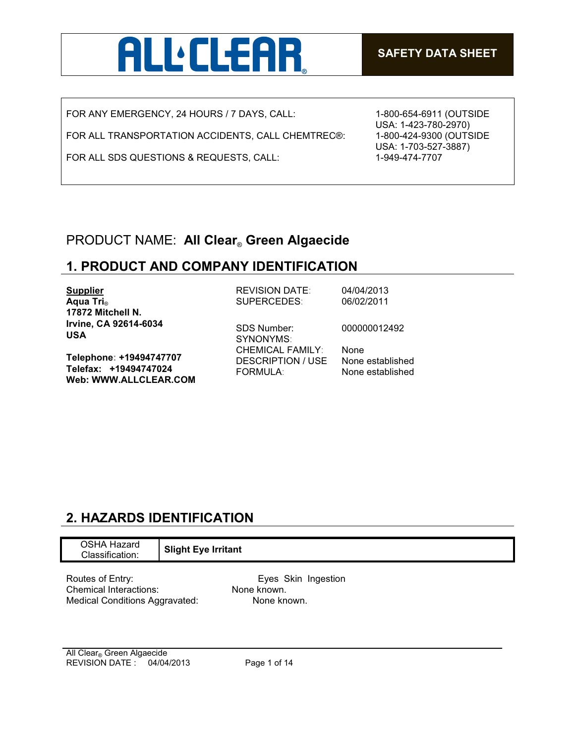

FOR ANY EMERGENCY, 24 HOURS / 7 DAYS, CALL:

FOR ALL TRANSPORTATION ACCIDENTS, CALL CHEMTREC®:

FOR ALL SDS QUESTIONS & REQUESTS, CALL:

1-800-654-6911 (OUTSIDE USA: 1-423-780-2970) 1-800-424-9300 (OUTSIDE USA: 1-703-527-3887) 1-949-474-7707

## PRODUCT NAME: **All Clear**® **Green Algaecide**

## **1. PRODUCT AND COMPANY IDENTIFICATION**

| <b>Supplier</b>                                                           | <b>REVISION DATE:</b>                                                  | 04/04/2013                                   |
|---------------------------------------------------------------------------|------------------------------------------------------------------------|----------------------------------------------|
| Aqua Tri <sub>®</sub>                                                     | SUPERCEDES:                                                            | 06/02/2011                                   |
| 17872 Mitchell N.                                                         |                                                                        |                                              |
| Irvine, CA 92614-6034<br><b>USA</b>                                       | SDS Number:<br>SYNONYMS:                                               | 000000012492                                 |
| Telephone: +19494747707<br>Telefax: +19494747024<br>Web: WWW.ALLCLEAR.COM | <b>CHEMICAL FAMILY:</b><br><b>DESCRIPTION / USE</b><br><b>FORMULA:</b> | None<br>None established<br>None established |

## **2. HAZARDS IDENTIFICATION**

| <b>OSHA Hazard</b><br>Classification: | <b>Slight Eye Irritant</b> |  |
|---------------------------------------|----------------------------|--|
| Routes of Entry:                      | Eyes Skin Ingestion        |  |

Chemical Interactions: None known. Medical Conditions Aggravated: None known.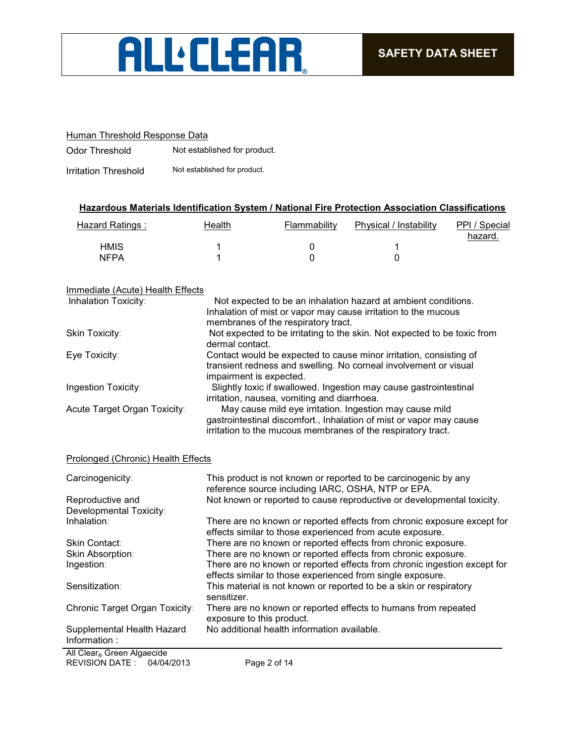

#### Human Threshold Response Data

Odor Threshold Not established for product.

Irritation Threshold Not established for product.

#### **Hazardous Materials Identification System / National Fire Protection Association Classifications**

| Hazard Ratings : | Health | Flammability | Physical / Instability | PPI / Special<br>hazard. |
|------------------|--------|--------------|------------------------|--------------------------|
| <b>HMIS</b>      |        |              |                        |                          |
| <b>NFPA</b>      |        |              |                        |                          |

#### Immediate (Acute) Health Effects

| Inhalation Toxicity:         | Not expected to be an inhalation hazard at ambient conditions.                                                                                                                                 |
|------------------------------|------------------------------------------------------------------------------------------------------------------------------------------------------------------------------------------------|
|                              | Inhalation of mist or vapor may cause irritation to the mucous                                                                                                                                 |
|                              | membranes of the respiratory tract.                                                                                                                                                            |
| Skin Toxicity:               | Not expected to be irritating to the skin. Not expected to be toxic from<br>dermal contact.                                                                                                    |
| Eye Toxicity:                | Contact would be expected to cause minor irritation, consisting of<br>transient redness and swelling. No corneal involvement or visual<br>impairment is expected.                              |
| Ingestion Toxicity:          | Slightly toxic if swallowed. Ingestion may cause gastrointestinal<br>irritation, nausea, vomiting and diarrhoea.                                                                               |
| Acute Target Organ Toxicity: | May cause mild eye irritation. Ingestion may cause mild<br>gastrointestinal discomfort., Inhalation of mist or vapor may cause<br>irritation to the mucous membranes of the respiratory tract. |

#### Prolonged (Chronic) Health Effects

| Carcinogenicity:                           | This product is not known or reported to be carcinogenic by any<br>reference source including IARC, OSHA, NTP or EPA.                  |
|--------------------------------------------|----------------------------------------------------------------------------------------------------------------------------------------|
| Reproductive and                           | Not known or reported to cause reproductive or developmental toxicity.                                                                 |
| Developmental Toxicity:                    |                                                                                                                                        |
| Inhalation:                                | There are no known or reported effects from chronic exposure except for<br>effects similar to those experienced from acute exposure.   |
| <b>Skin Contact:</b>                       | There are no known or reported effects from chronic exposure.                                                                          |
| Skin Absorption:                           | There are no known or reported effects from chronic exposure.                                                                          |
| Ingestion:                                 | There are no known or reported effects from chronic ingestion except for<br>effects similar to those experienced from single exposure. |
| Sensitization:                             | This material is not known or reported to be a skin or respiratory<br>sensitizer.                                                      |
| Chronic Target Organ Toxicity:             | There are no known or reported effects to humans from repeated<br>exposure to this product.                                            |
| Supplemental Health Hazard<br>Information: | No additional health information available.                                                                                            |
| All Clear Green Algaecide                  |                                                                                                                                        |

REVISION DATE : 04/04/2013 Page 2 of 14 All Clear® Green Algaecide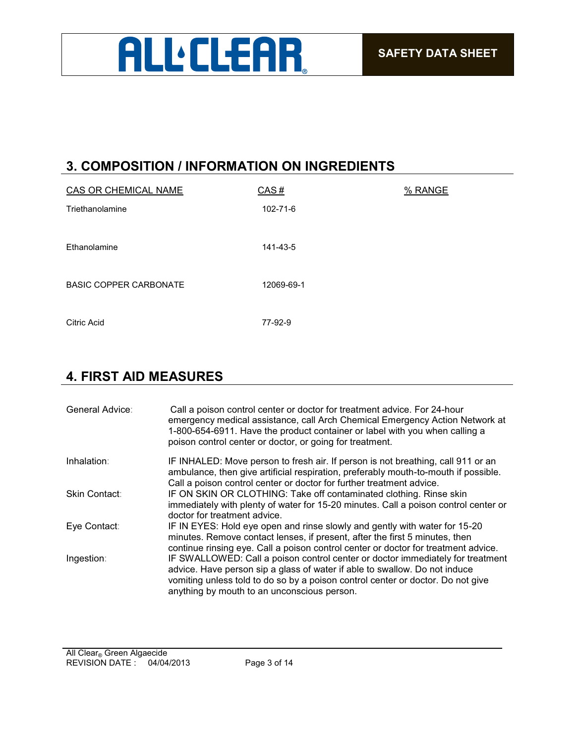

## **3. COMPOSITION / INFORMATION ON INGREDIENTS**

| CAS OR CHEMICAL NAME          | CAS#       | % RANGE |
|-------------------------------|------------|---------|
| Triethanolamine               | 102-71-6   |         |
|                               |            |         |
| Ethanolamine                  | 141-43-5   |         |
|                               |            |         |
| <b>BASIC COPPER CARBONATE</b> | 12069-69-1 |         |
|                               |            |         |
| <b>Citric Acid</b>            | 77-92-9    |         |

## **4. FIRST AID MEASURES**

| General Advice: | Call a poison control center or doctor for treatment advice. For 24-hour<br>emergency medical assistance, call Arch Chemical Emergency Action Network at<br>1-800-654-6911. Have the product container or label with you when calling a<br>poison control center or doctor, or going for treatment. |
|-----------------|-----------------------------------------------------------------------------------------------------------------------------------------------------------------------------------------------------------------------------------------------------------------------------------------------------|
| Inhalation:     | IF INHALED: Move person to fresh air. If person is not breathing, call 911 or an<br>ambulance, then give artificial respiration, preferably mouth-to-mouth if possible.<br>Call a poison control center or doctor for further treatment advice.                                                     |
| Skin Contact:   | IF ON SKIN OR CLOTHING: Take off contaminated clothing. Rinse skin<br>immediately with plenty of water for 15-20 minutes. Call a poison control center or<br>doctor for treatment advice.                                                                                                           |
| Eye Contact:    | IF IN EYES: Hold eye open and rinse slowly and gently with water for 15-20<br>minutes. Remove contact lenses, if present, after the first 5 minutes, then<br>continue rinsing eye. Call a poison control center or doctor for treatment advice.                                                     |
| Ingestion:      | IF SWALLOWED: Call a poison control center or doctor immediately for treatment<br>advice. Have person sip a glass of water if able to swallow. Do not induce<br>vomiting unless told to do so by a poison control center or doctor. Do not give<br>anything by mouth to an unconscious person.      |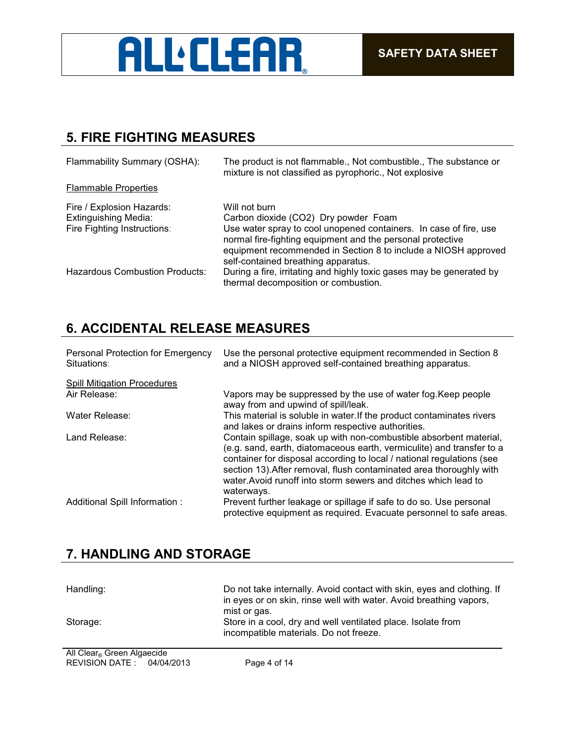

## **5. FIRE FIGHTING MEASURES**

| Flammability Summary (OSHA):                                                            | The product is not flammable., Not combustible., The substance or<br>mixture is not classified as pyrophoric., Not explosive                                                                                                                                                                      |
|-----------------------------------------------------------------------------------------|---------------------------------------------------------------------------------------------------------------------------------------------------------------------------------------------------------------------------------------------------------------------------------------------------|
| <b>Flammable Properties</b>                                                             |                                                                                                                                                                                                                                                                                                   |
| Fire / Explosion Hazards:<br><b>Extinguishing Media:</b><br>Fire Fighting Instructions: | Will not burn<br>Carbon dioxide (CO2) Dry powder Foam<br>Use water spray to cool unopened containers. In case of fire, use<br>normal fire-fighting equipment and the personal protective<br>equipment recommended in Section 8 to include a NIOSH approved<br>self-contained breathing apparatus. |
| Hazardous Combustion Products:                                                          | During a fire, irritating and highly toxic gases may be generated by<br>thermal decomposition or combustion.                                                                                                                                                                                      |

## **6. ACCIDENTAL RELEASE MEASURES**

| Personal Protection for Emergency<br>Situations: | Use the personal protective equipment recommended in Section 8<br>and a NIOSH approved self-contained breathing apparatus.                                                                                                                                                                                                                                                   |
|--------------------------------------------------|------------------------------------------------------------------------------------------------------------------------------------------------------------------------------------------------------------------------------------------------------------------------------------------------------------------------------------------------------------------------------|
| <b>Spill Mitigation Procedures</b>               |                                                                                                                                                                                                                                                                                                                                                                              |
| Air Release:                                     | Vapors may be suppressed by the use of water fog. Keep people<br>away from and upwind of spill/leak.                                                                                                                                                                                                                                                                         |
| Water Release:                                   | This material is soluble in water. If the product contaminates rivers<br>and lakes or drains inform respective authorities.                                                                                                                                                                                                                                                  |
| Land Release:                                    | Contain spillage, soak up with non-combustible absorbent material,<br>(e.g. sand, earth, diatomaceous earth, vermiculite) and transfer to a<br>container for disposal according to local / national regulations (see<br>section 13). After removal, flush contaminated area thoroughly with<br>water. Avoid runoff into storm sewers and ditches which lead to<br>waterways. |
| Additional Spill Information :                   | Prevent further leakage or spillage if safe to do so. Use personal<br>protective equipment as required. Evacuate personnel to safe areas.                                                                                                                                                                                                                                    |

## **7. HANDLING AND STORAGE**

| Handling:                  | Do not take internally. Avoid contact with skin, eyes and clothing. If<br>in eyes or on skin, rinse well with water. Avoid breathing vapors,<br>mist or gas. |
|----------------------------|--------------------------------------------------------------------------------------------------------------------------------------------------------------|
| Storage:                   | Store in a cool, dry and well ventilated place. Isolate from<br>incompatible materials. Do not freeze.                                                       |
| All Clear, Croop Algoopide |                                                                                                                                                              |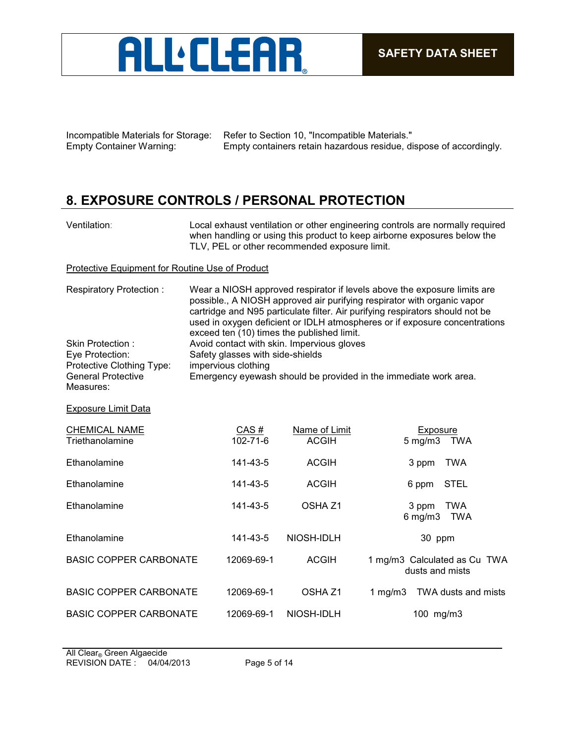

Incompatible Materials for Storage: Refer to Section 10, "Incompatible Materials." Empty Container Warning: Empty containers retain hazardous residue, dispose of accordingly.

## **8. EXPOSURE CONTROLS / PERSONAL PROTECTION**

| Ventilation: |  |
|--------------|--|
|              |  |

Local exhaust ventilation or other engineering controls are normally required when handling or using this product to keep airborne exposures below the TLV, PEL or other recommended exposure limit.

Protective Equipment for Routine Use of Product

| Respiratory Protection:                                                                                    | Wear a NIOSH approved respirator if levels above the exposure limits are<br>possible., A NIOSH approved air purifying respirator with organic vapor<br>cartridge and N95 particulate filter. Air purifying respirators should not be<br>used in oxygen deficient or IDLH atmospheres or if exposure concentrations |                               |                                                   |
|------------------------------------------------------------------------------------------------------------|--------------------------------------------------------------------------------------------------------------------------------------------------------------------------------------------------------------------------------------------------------------------------------------------------------------------|-------------------------------|---------------------------------------------------|
| Skin Protection:<br>Eye Protection:<br>Protective Clothing Type:<br><b>General Protective</b><br>Measures: | exceed ten (10) times the published limit.<br>Avoid contact with skin. Impervious gloves<br>Safety glasses with side-shields<br>impervious clothing<br>Emergency eyewash should be provided in the immediate work area.                                                                                            |                               |                                                   |
| <b>Exposure Limit Data</b>                                                                                 |                                                                                                                                                                                                                                                                                                                    |                               |                                                   |
| <b>CHEMICAL NAME</b><br>Triethanolamine                                                                    | CAS#<br>$102 - 71 - 6$                                                                                                                                                                                                                                                                                             | Name of Limit<br><b>ACGIH</b> | <b>Exposure</b><br>$5 \text{ mg/m}$<br>TWA        |
| Ethanolamine                                                                                               | 141-43-5                                                                                                                                                                                                                                                                                                           | <b>ACGIH</b>                  | 3 ppm<br><b>TWA</b>                               |
| Ethanolamine                                                                                               | 141-43-5                                                                                                                                                                                                                                                                                                           | <b>ACGIH</b>                  | <b>STEL</b><br>6 ppm                              |
| Ethanolamine                                                                                               | 141-43-5                                                                                                                                                                                                                                                                                                           | OSHA <sub>Z1</sub>            | 3 ppm<br><b>TWA</b><br>$6$ mg/m $3$<br><b>TWA</b> |
| Ethanolamine                                                                                               | 141-43-5                                                                                                                                                                                                                                                                                                           | NIOSH-IDLH                    | 30 ppm                                            |
| <b>BASIC COPPER CARBONATE</b>                                                                              | 12069-69-1                                                                                                                                                                                                                                                                                                         | <b>ACGIH</b>                  | 1 mg/m3 Calculated as Cu TWA<br>dusts and mists   |
| <b>BASIC COPPER CARBONATE</b>                                                                              | 12069-69-1                                                                                                                                                                                                                                                                                                         | OSHA <sub>Z1</sub>            | 1 mg/m $3$<br>TWA dusts and mists                 |
| <b>BASIC COPPER CARBONATE</b>                                                                              | 12069-69-1                                                                                                                                                                                                                                                                                                         | NIOSH-IDLH                    | 100 mg/m3                                         |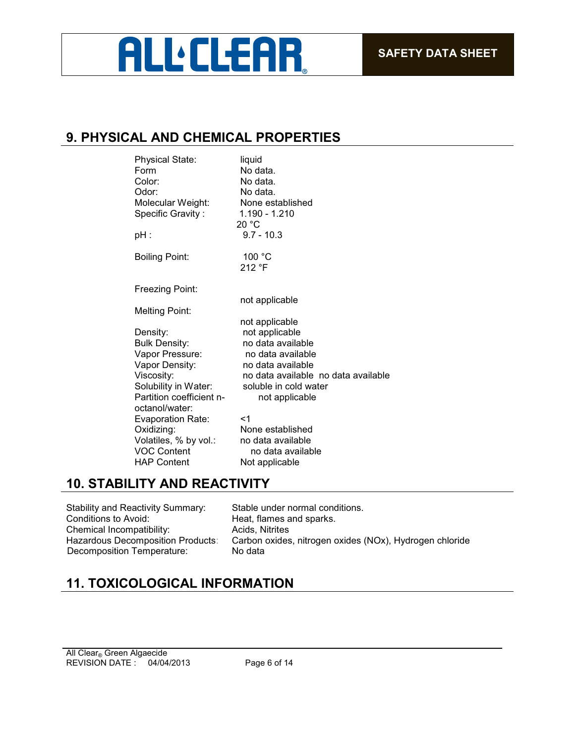## **ALL:CLEAR**

## **9. PHYSICAL AND CHEMICAL PROPERTIES**

| <b>Physical State:</b><br>Form<br>Color:<br>Odor:<br>Molecular Weight:<br>Specific Gravity:<br>pH :                                                       | liquid<br>No data.<br>No data.<br>No data.<br>None established<br>1.190 - 1.210<br>20 °C<br>$9.7 - 10.3$                                                                          |
|-----------------------------------------------------------------------------------------------------------------------------------------------------------|-----------------------------------------------------------------------------------------------------------------------------------------------------------------------------------|
| <b>Boiling Point:</b>                                                                                                                                     | 100 °C<br>212 °F                                                                                                                                                                  |
| Freezing Point:                                                                                                                                           |                                                                                                                                                                                   |
| Melting Point:                                                                                                                                            | not applicable                                                                                                                                                                    |
| Density:<br><b>Bulk Density:</b><br>Vapor Pressure:<br>Vapor Density:<br>Viscosity:<br>Solubility in Water:<br>Partition coefficient n-<br>octanol/water: | not applicable<br>not applicable<br>no data available<br>no data available<br>no data available<br>no data available no data available<br>soluble in cold water<br>not applicable |
| <b>Evaporation Rate:</b><br>Oxidizing:<br>Volatiles, % by vol.:<br><b>VOC Content</b><br><b>HAP Content</b>                                               | $<$ 1<br>None established<br>no data available<br>no data available<br>Not applicable                                                                                             |

## **10. STABILITY AND REACTIVITY**

Stability and Reactivity Summary: Stable under normal conditions.<br>Conditions to Avoid: Stable Reat. flames and sparks. Chemical Incompatibility: Acids, Nitrites<br>Hazardous Decomposition Products: Carbon oxides Decomposition Temperature: No data

Heat, flames and sparks. Carbon oxides, nitrogen oxides (NOx), Hydrogen chloride

## **11. TOXICOLOGICAL INFORMATION**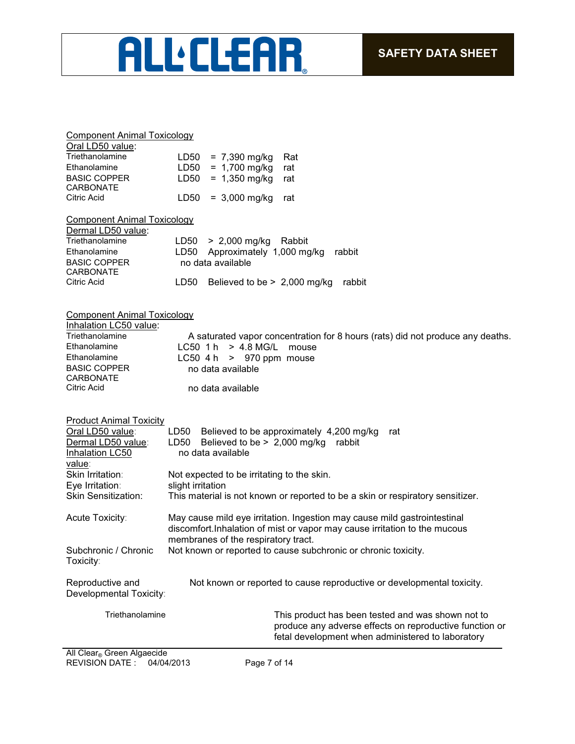# ALL'CLEAR

#### Component Animal Toxicology

| Oral LD50 value:    |                          |     |
|---------------------|--------------------------|-----|
| Triethanolamine     | $LD50 = 7,390$ mg/kg Rat |     |
| Ethanolamine        | $LD50 = 1,700$ mg/kg     | rat |
| <b>BASIC COPPER</b> | $LD50 = 1,350$ mg/kg rat |     |
| <b>CARBONATE</b>    |                          |     |
| Citric Acid         | $LD50 = 3,000$ mg/kg rat |     |

Component Animal Toxicology

| Dermal LD50 value:  |      |                                       |
|---------------------|------|---------------------------------------|
| Triethanolamine     |      | $LD50 > 2,000$ mg/kg Rabbit           |
| Ethanolamine        |      | LD50 Approximately 1,000 mg/kg rabbit |
| <b>BASIC COPPER</b> |      | no data available                     |
| <b>CARBONATE</b>    |      |                                       |
| Citric Acid         | LD50 | Believed to be $> 2,000$ mg/kg rabbit |

#### Component Animal Toxicology

| Inhalation LC50 value:           |                                                                                |
|----------------------------------|--------------------------------------------------------------------------------|
| Triethanolamine                  | A saturated vapor concentration for 8 hours (rats) did not produce any deaths. |
| Ethanolamine                     | $LC50$ 1 h $> 4.8$ MG/L<br>mouse                                               |
| Ethanolamine                     | LC50 4 h $>$ 970 ppm mouse                                                     |
| <b>BASIC COPPER</b><br>CARBONATE | no data available                                                              |
| Citric Acid                      | no data available                                                              |

| <b>Product Animal Toxicity</b><br>Oral LD50 value:<br>Dermal LD50 value:<br>Inhalation LC50<br>value: | Believed to be approximately 4,200 mg/kg<br>LD50<br>rat<br>Believed to be $> 2,000$ mg/kg<br>LD50<br>rabbit<br>no data available                                                              |  |  |  |  |  |
|-------------------------------------------------------------------------------------------------------|-----------------------------------------------------------------------------------------------------------------------------------------------------------------------------------------------|--|--|--|--|--|
| Skin Irritation:<br>Eye Irritation:                                                                   | Not expected to be irritating to the skin.<br>slight irritation                                                                                                                               |  |  |  |  |  |
| <b>Skin Sensitization:</b>                                                                            | This material is not known or reported to be a skin or respiratory sensitizer.                                                                                                                |  |  |  |  |  |
| <b>Acute Toxicity:</b>                                                                                | May cause mild eye irritation. Ingestion may cause mild gastrointestinal<br>discomfort. Inhalation of mist or vapor may cause irritation to the mucous<br>membranes of the respiratory tract. |  |  |  |  |  |
| Subchronic / Chronic<br>Toxicity:                                                                     | Not known or reported to cause subchronic or chronic toxicity.                                                                                                                                |  |  |  |  |  |
| Reproductive and<br>Developmental Toxicity:                                                           | Not known or reported to cause reproductive or developmental toxicity.                                                                                                                        |  |  |  |  |  |
| Triethanolamine                                                                                       | This product has been tested and was shown not to<br>produce any adverse effects on reproductive function or<br>fetal development when administered to laboratory                             |  |  |  |  |  |
| All Clear Green Algaecide                                                                             |                                                                                                                                                                                               |  |  |  |  |  |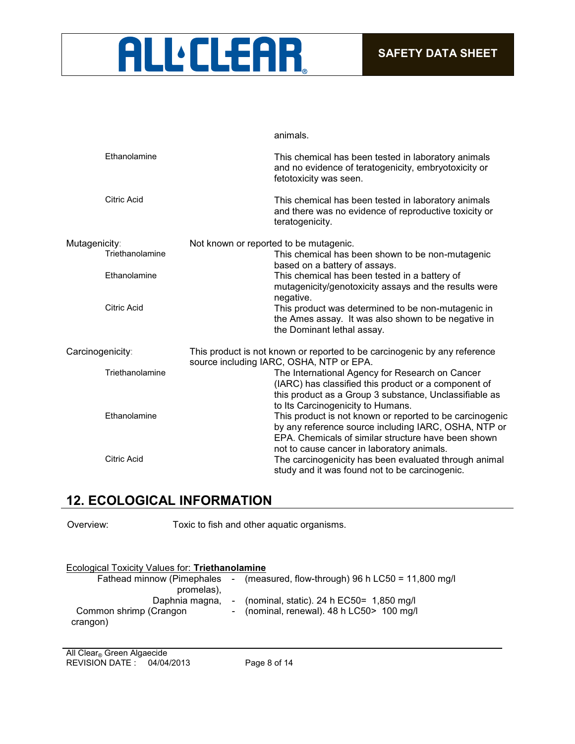

animals.

| Ethanolamine       | This chemical has been tested in laboratory animals<br>and no evidence of teratogenicity, embryotoxicity or<br>fetotoxicity was seen.                                                                                 |
|--------------------|-----------------------------------------------------------------------------------------------------------------------------------------------------------------------------------------------------------------------|
| <b>Citric Acid</b> | This chemical has been tested in laboratory animals<br>and there was no evidence of reproductive toxicity or<br>teratogenicity.                                                                                       |
| Mutagenicity:      | Not known or reported to be mutagenic.                                                                                                                                                                                |
| Triethanolamine    | This chemical has been shown to be non-mutagenic<br>based on a battery of assays.                                                                                                                                     |
| Ethanolamine       | This chemical has been tested in a battery of<br>mutagenicity/genotoxicity assays and the results were<br>negative.                                                                                                   |
| Citric Acid        | This product was determined to be non-mutagenic in<br>the Ames assay. It was also shown to be negative in<br>the Dominant lethal assay.                                                                               |
| Carcinogenicity:   | This product is not known or reported to be carcinogenic by any reference<br>source including IARC, OSHA, NTP or EPA.                                                                                                 |
| Triethanolamine    | The International Agency for Research on Cancer<br>(IARC) has classified this product or a component of<br>this product as a Group 3 substance, Unclassifiable as<br>to Its Carcinogenicity to Humans.                |
| Ethanolamine       | This product is not known or reported to be carcinogenic<br>by any reference source including IARC, OSHA, NTP or<br>EPA. Chemicals of similar structure have been shown<br>not to cause cancer in laboratory animals. |
| <b>Citric Acid</b> | The carcinogenicity has been evaluated through animal<br>study and it was found not to be carcinogenic.                                                                                                               |

## **12. ECOLOGICAL INFORMATION**

Overview: Toxic to fish and other aquatic organisms.

| Ecological Toxicity Values for: Triethanolamine |                                                                               |
|-------------------------------------------------|-------------------------------------------------------------------------------|
|                                                 | Fathead minnow (Pimephales - (measured, flow-through) 96 h LC50 = 11,800 mg/l |
| promelas),                                      |                                                                               |
| Daphnia magna,                                  | - (nominal, static). 24 h EC50= $1,850$ mg/l                                  |
| Common shrimp (Crangon                          | - (nominal, renewal). 48 h LC50> 100 mg/l                                     |
| crangon)                                        |                                                                               |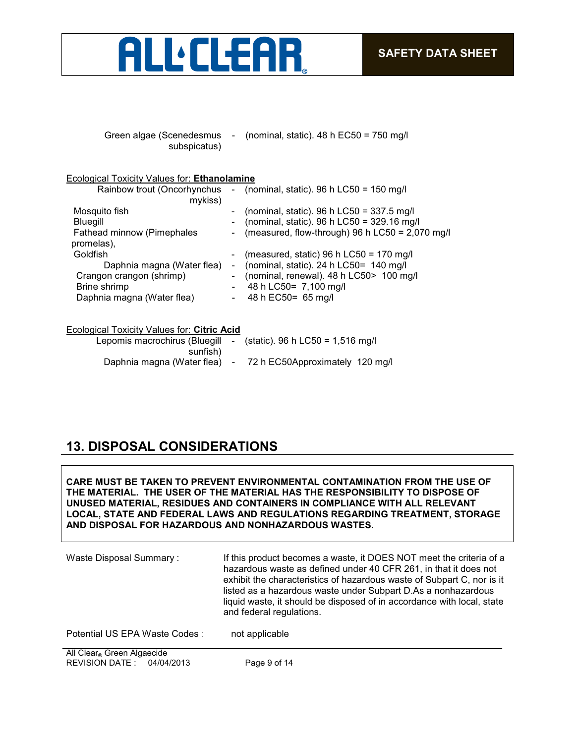

| Green algae (Scenedesmus | - (nominal, static). $48 h$ EC50 = 750 mg/l |
|--------------------------|---------------------------------------------|
| subspicatus)             |                                             |

#### Ecological Toxicity Values for: **Ethanolamine**

| Rainbow trout (Oncorhynchus | - (nominal, static). $96 h$ LC50 = 150 mg/l       |
|-----------------------------|---------------------------------------------------|
| mykiss)                     |                                                   |
| Mosquito fish               | (nominal, static). 96 h LC50 = $337.5$ mg/l       |
| Bluegill                    | (nominal, static). 96 h LC50 = 329.16 mg/l        |
| Fathead minnow (Pimephales  | (measured, flow-through) 96 h LC50 = $2,070$ mg/l |
| promelas),                  |                                                   |
| Goldfish                    | (measured, static) 96 h LC50 = 170 mg/l           |
| Daphnia magna (Water flea)  | (nominal, static). 24 h $LCS0 = 140$ mg/l         |
| Crangon crangon (shrimp)    | (nominal, renewal). 48 h LC50> 100 mg/l           |
| Brine shrimp                | 48 h LC50= 7,100 mg/l                             |
| Daphnia magna (Water flea)  | 48 h EC50 = 65 mg/l                               |
|                             |                                                   |
|                             |                                                   |

#### Ecological Toxicity Values for: **Citric Acid**

| Lepomis macrochirus (Bluegill<br>sunfish) | - (static). 96 h LC50 = 1,516 mg/l |
|-------------------------------------------|------------------------------------|
| Daphnia magna (Water flea) -              | 72 h EC50Approximately 120 mg/l    |

## **13. DISPOSAL CONSIDERATIONS**

**CARE MUST BE TAKEN TO PREVENT ENVIRONMENTAL CONTAMINATION FROM THE USE OF THE MATERIAL. THE USER OF THE MATERIAL HAS THE RESPONSIBILITY TO DISPOSE OF UNUSED MATERIAL, RESIDUES AND CONTAINERS IN COMPLIANCE WITH ALL RELEVANT LOCAL, STATE AND FEDERAL LAWS AND REGULATIONS REGARDING TREATMENT, STORAGE AND DISPOSAL FOR HAZARDOUS AND NONHAZARDOUS WASTES.** 

| Waste Disposal Summary:        | If this product becomes a waste, it DOES NOT meet the criteria of a<br>hazardous waste as defined under 40 CFR 261, in that it does not<br>exhibit the characteristics of hazardous waste of Subpart C, nor is it<br>listed as a hazardous waste under Subpart D.As a nonhazardous<br>liquid waste, it should be disposed of in accordance with local, state<br>and federal regulations. |
|--------------------------------|------------------------------------------------------------------------------------------------------------------------------------------------------------------------------------------------------------------------------------------------------------------------------------------------------------------------------------------------------------------------------------------|
| Potential US EPA Waste Codes : | not applicable                                                                                                                                                                                                                                                                                                                                                                           |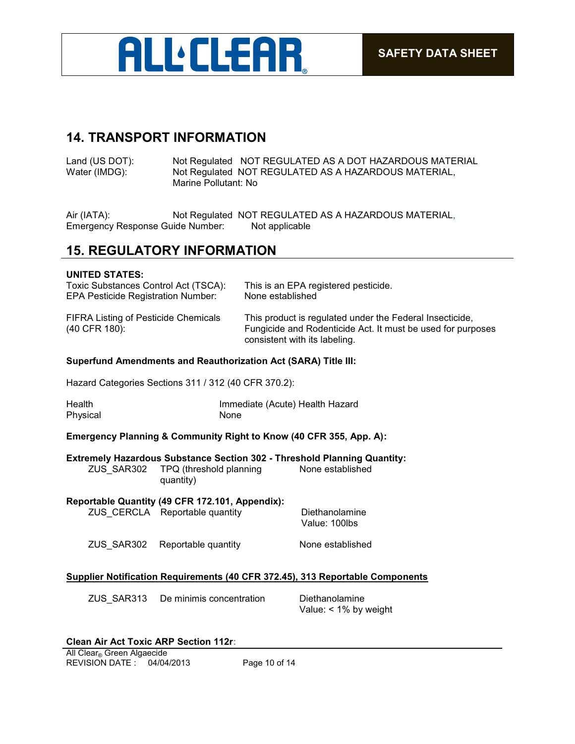

## **14. TRANSPORT INFORMATION**

Land (US DOT): Not Regulated NOT REGULATED AS A DOT HAZARDOUS MATERIAL Water (IMDG): Not Regulated NOT REGULATED AS A HAZARDOUS MATERIAL, Not Regulated NOT REGULATED AS A HAZARDOUS MATERIAL, Marine Pollutant: No

Air (IATA): Not Regulated NOT REGULATED AS A HAZARDOUS MATERIAL, Emergency Response Guide Number: Not applicable

### **15. REGULATORY INFORMATION**

#### **UNITED STATES:**

| Toxic Substances Control Act (TSCA):                  | This is an EPA registered pesticide.                                                                                                                     |
|-------------------------------------------------------|----------------------------------------------------------------------------------------------------------------------------------------------------------|
| <b>EPA Pesticide Registration Number:</b>             | None established                                                                                                                                         |
| FIFRA Listing of Pesticide Chemicals<br>(40 CFR 180): | This product is regulated under the Federal Insecticide,<br>Fungicide and Rodenticide Act. It must be used for purposes<br>consistent with its labeling. |

#### **Superfund Amendments and Reauthorization Act (SARA) Title III:**

Hazard Categories Sections 311 / 312 (40 CFR 370.2):

| Health   | Immediate (Acute) Health Hazard |
|----------|---------------------------------|
| Physical | None                            |

#### **Emergency Planning & Community Right to Know (40 CFR 355, App. A):**

|                                                                                                                      | <b>Extremely Hazardous Substance Section 302 - Threshold Planning Quantity:</b><br>ZUS SAR302 TPQ (threshold planning<br>quantity) | None established |
|----------------------------------------------------------------------------------------------------------------------|------------------------------------------------------------------------------------------------------------------------------------|------------------|
| Reportable Quantity (49 CFR 172.101, Appendix):<br>ZUS CERCLA Reportable quantity<br>Diethanolamine<br>Value: 100lbs |                                                                                                                                    |                  |
|                                                                                                                      | ZUS SAR302 Reportable quantity                                                                                                     | None established |

#### **Supplier Notification Requirements (40 CFR 372.45), 313 Reportable Components**

| ZUS SAR313 | De minimis concentration | Diethanolamine           |
|------------|--------------------------|--------------------------|
|            |                          | Value: $< 1\%$ by weight |

#### **Clean Air Act Toxic ARP Section 112r:**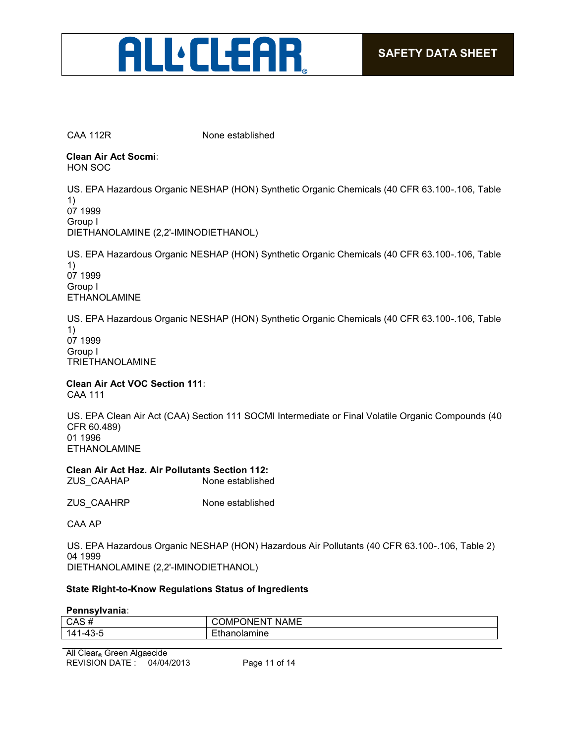# **ALL:CLEAR**

CAA 112R None established

**Clean Air Act Socmi:** HON SOC

US. EPA Hazardous Organic NESHAP (HON) Synthetic Organic Chemicals (40 CFR 63.100-.106, Table 1) 07 1999

Group I

DIETHANOLAMINE (2,2'-IMINODIETHANOL)

US. EPA Hazardous Organic NESHAP (HON) Synthetic Organic Chemicals (40 CFR 63.100-.106, Table 1) 07 1999 Group I ETHANOLAMINE

US. EPA Hazardous Organic NESHAP (HON) Synthetic Organic Chemicals (40 CFR 63.100-.106, Table 1) 07 1999 Group I TRIETHANOLAMINE

**Clean Air Act VOC Section 111:** CAA 111

US. EPA Clean Air Act (CAA) Section 111 SOCMI Intermediate or Final Volatile Organic Compounds (40 CFR 60.489) 01 1996 ETHANOLAMINE

**Clean Air Act Haz. Air Pollutants Section 112:** ZUS CAAHAP None established

ZUS\_CAAHRP None established

CAA AP

US. EPA Hazardous Organic NESHAP (HON) Hazardous Air Pollutants (40 CFR 63.100-.106, Table 2) 04 1999 DIETHANOLAMINE (2,2'-IMINODIETHANOL)

#### **State Right-to-Know Regulations Status of Ingredients**

**Pennsylvania:**

| CAS                                     | .<br><b>NAMF</b><br>١M.<br>- 171 |
|-----------------------------------------|----------------------------------|
| -<br>14 <sup>′</sup><br>$\sqrt{2}$<br>. |                                  |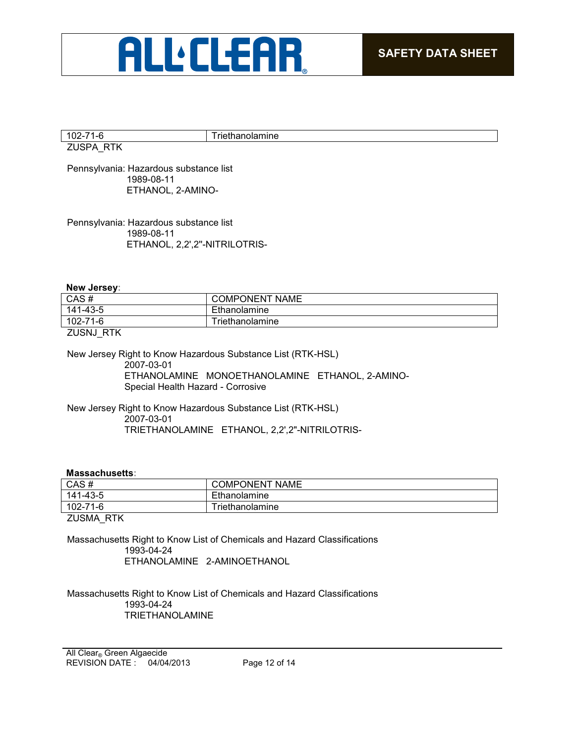

| $\overline{ }$<br>È   | riet<br>unanoiamine |
|-----------------------|---------------------|
| ---<br>$-$<br>∼<br>-- |                     |

Pennsylvania: Hazardous substance list 1989-08-11 ETHANOL, 2-AMINO-

Pennsylvania: Hazardous substance list 1989-08-11 ETHANOL, 2,2',2''-NITRILOTRIS-

**New Jersey:**

| CAS#         | <b>COMPONENT</b><br><b>NAME</b> |
|--------------|---------------------------------|
| 141-43-5     | Ethanolamine                    |
| 102-71-6     | Triethanolamine                 |
| _. . _ _ _ _ |                                 |

ZUSNJ\_RTK

New Jersey Right to Know Hazardous Substance List (RTK-HSL) 2007-03-01 ETHANOLAMINE MONOETHANOLAMINE ETHANOL, 2-AMINO-Special Health Hazard - Corrosive

New Jersey Right to Know Hazardous Substance List (RTK-HSL) 2007-03-01 TRIETHANOLAMINE ETHANOL, 2,2',2"-NITRILOTRIS-

#### **Massachusetts:**

| 102-71-6 | Triethanolamine       |
|----------|-----------------------|
| 141-43-5 | Ethanolamine          |
| CAS#     | <b>COMPONENT NAME</b> |
|          |                       |

ZUSMA\_RTK

Massachusetts Right to Know List of Chemicals and Hazard Classifications 1993-04-24 ETHANOLAMINE 2-AMINOETHANOL

Massachusetts Right to Know List of Chemicals and Hazard Classifications 1993-04-24 TRIETHANOLAMINE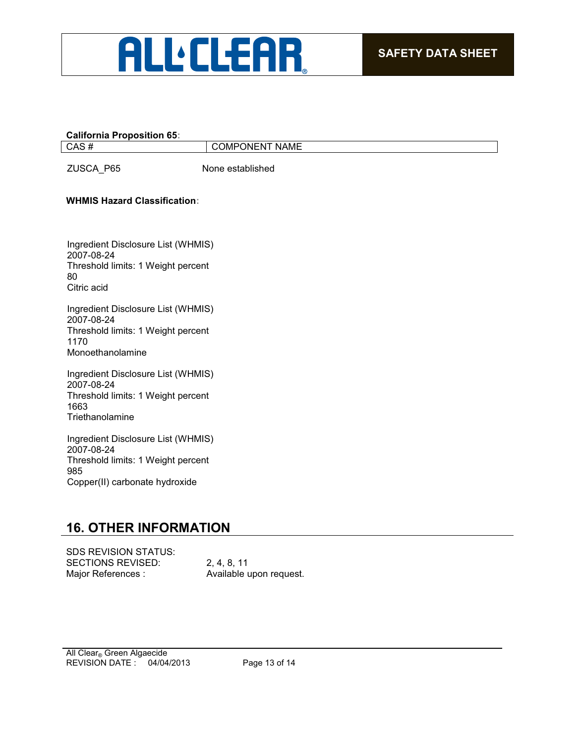

#### **California Proposition 65:**

CAS # COMPONENT NAME

ZUSCA\_P65 None established

#### **WHMIS Hazard Classification:**

Ingredient Disclosure List (WHMIS) 2007-08-24 Threshold limits: 1 Weight percent 80 Citric acid

Ingredient Disclosure List (WHMIS) 2007-08-24 Threshold limits: 1 Weight percent 1170 Monoethanolamine

Ingredient Disclosure List (WHMIS) 2007-08-24 Threshold limits: 1 Weight percent 1663 **Triethanolamine** 

Ingredient Disclosure List (WHMIS) 2007-08-24 Threshold limits: 1 Weight percent 985 Copper(II) carbonate hydroxide

## **16. OTHER INFORMATION**

SECTIONS REVISED: 2, 4, 8, 11 Major References : Available upon request. SDS REVISION STATUS: